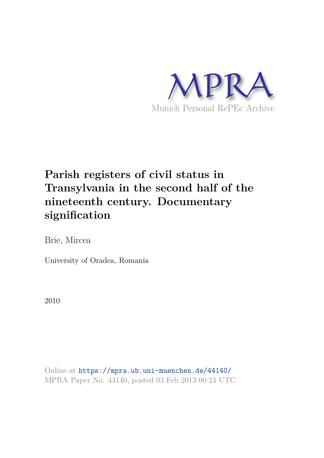

# **Parish registers of civil status in Transylvania in the second half of the nineteenth century. Documentary signification**

Brie, Mircea

University of Oradea, Romania

2010

Online at https://mpra.ub.uni-muenchen.de/44140/ MPRA Paper No. 44140, posted 03 Feb 2013 00:24 UTC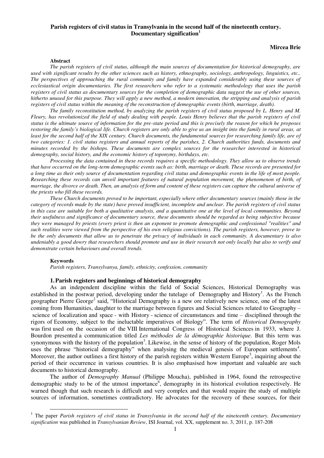## **Parish registers of civil status in Transylvania in the second half of the nineteenth century. Documentary signification<sup>1</sup>**

#### **Mircea Brie**

#### **Abstract**

*The parish registers of civil status, although the main sources of documentation for historical demography, are used with significant results by the other sciences such as history, ethnography, sociology, anthropology, linguistics, etc.. The perspectives of approaching the rural community and family have expanded considerably using these sources of ecclesiastical origin documentaries. The first researchers who refer to a systematic methodology that uses the parish registers of civil status as documentary sources for the completion of demographic data suggest the use of other sources, hitherto unused for this purpose. They will apply a new method, a modern innovation, the stripping and analysis of parish registers of civil status within the meaning of the reconstruction of demographic events (birth, marriage, death).* 

*The family reconstitution method, by analyzing the parish registers of civil status proposed by L. Henry and M. Fleury, has revolutionized the field of study dealing with people. Louis Henry believes that the parish registers of civil status is the ultimate source of information for the pre-state period and this is precisely the reason for which he proposes restoring the family's biological life. Church registers are only able to give us an insight into the family in rural areas, at least for the second half of the XIX century. Church documents, the fundamental sources for researching family life, are of two categories: 1. civil status registers and annual reports of the parishes, 2. Church authorities funds, documents and minutes recorded by the bishops. These documents are complex sources for the researcher interested in historical demography, social history, and the economic history of toponymy, birthdays, etc.* 

*Processing the data contained in these records requires a specific methodology. They allow us to observe trends that have occurred on the long-term demographic events such as: birth, marriage or death. These records are presented for a long time as their only source of documentation regarding civil status and demographic events in the life of most people. Researching these records can unveil important features of natural population movement, the phenomenon of birth, of marriage, the divorce or death. Then, an analysis of form and content of these registers can capture the cultural universe of the priests who fill these records.* 

*These Church documents proved to be important, especially where other documentary sources (mainly those in the category of records made by the state) have proved insufficient, incomplete and unclear. The parish registers of civil status in this case are suitable for both a qualitative analysis, and a quantitative one at the level of local communities. Beyond their usefulness and significance of documentary source, these documents should be regarded as being subjective because they were managed by priests (every priest is then an exponent to promote demographic and confessional "realities" and such realities were viewed from the perspective of his own religious convictions). The parish registers, however, prove to be the only documents that allow us to penetrate the privacy of individuals in each community. A documentary is also undeniably a good dowry that researchers should promote and use in their research not only locally but also to verify and demonstrate certain behaviours and overall trends.* 

#### **Keywords**

<u>.</u>

*Parish registers, Transylvanya, family, ethnicity, confession, community*

#### **1.Parish registers and beginnings of historical demography**

As an independent discipline within the field of Social Sciences, Historical Demography was established in the postwar period, developing under the tutelage of Demography and History<sup>1</sup>. As the French geographer Pierre George<sup>2</sup> said, "Historical Demography is a new ore relatively new science, one of the latest coming from Humanities, daughter to the marriage between figures and Social Sciences related to Geography – science of localization and space - with History - science of circumstances and time – disciplined through the rigors of Economy, subject to the ineluctable imperatives of Biology". The term of *Historical Demography*  was first used on the occasion of the VIII International Congress of Historical Sciences in 1933, where J. Bourdon presented a communication titled *Les méthodes de la démographie historique*. But this term was synonymous with the history of the population<sup>3</sup>. Likewise, in the sense of history of the population, Roger Mols uses the phrase "historical demography" when analysing the medieval genesis of European settlements<sup>4</sup>. Moreover, the author outlines a first history of the parish registers within Western Europe<sup>5</sup>, inquiring about the period of their occurrence in various countries. It is also emphasised how important and valuable are such documents to historical demography.

The author of *Demography Manual* (Philippe Moucha), published in 1964, found the retrospective demographic study to be of the utmost importance<sup>6</sup>, demography in its historical evolution respectively. He warned though that such research is difficult and very complex and that would require the study of multiple sources of information, sometimes contradictory. He advocates for the recovery of these sources, for their

<sup>&</sup>lt;sup>1</sup> The paper *Parish registers of civil status in Transylvania in the second half of the nineteenth century. Documentary signification* was published in *Transylvanian Review*, ISI Journal, vol. XX, supplement no. 3, 2011, p. 187-208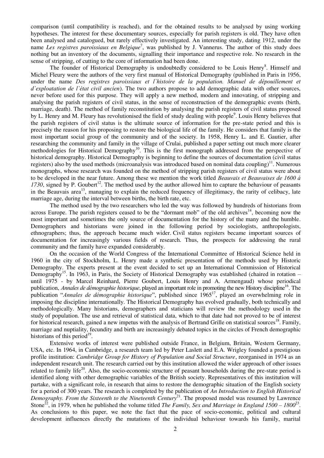comparison (until compatibility is reached), and for the obtained results to be analysed by using working hypotheses. The interest for these documentary sources, especially for parish registers is old. They have often been analysed and catalogued, but rarely effectively investigated. An interesting study, dating 1912, under the name *Les registres paroissiaux en Belgique*<sup>7</sup>, was published by J. Vannerus. The author of this study does nothing but an inventory of the documents, signalling their importance and respective role. No research in the sense of stripping, of cutting to the core of information had been done.

The founder of Historical Demography is undoubtedly considered to be Louis Henry<sup>8</sup>. Himself and Michel Fleury were the authors of the very first manual of Historical Demography (published in Paris in 1956, under the name *Des registres paroissiaux et l'histoire de la population. Manuel de dépouillement et d`exploatation de l`état civil ancien*). The two authors propose to add demographic data with other sources, never before used for this purpose. They will apply a new method, modern and innovating, of stripping and analysing the parish registers of civil status, in the sense of reconstruction of the demographic events (birth, marriage, death). The method of family reconstitution by analysing the parish registers of civil status proposed by L. Henry and M. Fleury has revolutionised the field of study dealing with people<sup>9</sup>. Louis Henry believes that the parish registers of civil status is the ultimate source of information for the pre-state period and this is precisely the reason for his proposing to restore the biological life of the family. He considers that family is the most important social group of the community and of the society. In 1958, Henry L. and E. Gautier, after researching the community and family in the village of Crulai, published a paper setting out much more clearer methodologies for Historical Demography<sup>10</sup>. This is the first monograph addressed from the perspective of historical demography. Historical Demography is beginning to define the sources of documentation (civil status registers) also by the used methods (microanalysis was introduced based on nominal data coupling)<sup>11</sup>. Numerous monographs, whose research was founded on the method of stripping parish registers of civil status were about to be developed in the near future. Among these we mention the work titled *Beauvais et Beauvaises de 1600 á*   $1730$ , signed by P. Goubert<sup>12</sup>. The method used by the author allowed him to capture the behaviour of peasants in the Beauvais area<sup>13</sup>, managing to explain the reduced frequency of illegitimacy, the rarity of celibacy, late marriage age, during the interval between births, the birth rate, etc.

The method used by the two researchers who led the way was followed by hundreds of historians from across Europe. The parish registers ceased to be the "dormant mob" of the old archives<sup>14</sup>, becoming now the most important and sometimes the only source of documentation for the history of the many and the humble. Demographers and historians were joined in the following period by sociologists, anthropologists, ethnographers; thus, the approach became much wider. Civil status registers became important sources of documentation for increasingly various fields of research. Thus, the prospects for addressing the rural community and the family have expanded considerably.

On the occasion of the World Congress of the International Committee of Historical Science held in 1960 in the city of Stockholm, L. Henry made a synthetic presentation of the methods used by Historic Demography. The experts present at the event decided to set up an International Commission of Historical Demography<sup>15</sup>. In 1963, in Paris, the Society of Historical Demography was established (chaired in rotation – until 1975 - by Marcel Reinhard, Pierre Goubert, Louis Henry and A. Armengaud) whose periodical publication, *Annales de démographie historique*, played an important role in promoting the new History discipline<sup>16</sup>. The publication "*Annales de démographie historique*", published since 1965<sup>17</sup>, played an overwhelming role in imposing the discipline internationally. The Historical Demography has evolved gradually, both technically and methodologically. Many historians, demographers and staticians will review the methodology used in the study of population. The use and retrieval of statistical data, which to that date had not proved to be of interest for historical research, gained a new impetus with the analysis of Bertrand Grille on statistical sources<sup>18</sup>. Family, marriage and nuptiality, fecundity and birth are increasingly debated topics in the circles of French demographic historians of this period<sup>19</sup>.

Extensive works of interest were published outside France, in Belgium, Britain, Western Germany, USA, etc. In 1964, in Cambridge, a research team led by Peter Laslett and E.A. Wrigley founded a prestigious profile institution: *Cambridge Group for History of Population and Social Structure*, reorganised in 1974 as an independent research unit. The research carried out by this institution allowed the wider approach of other issues related to family life<sup>20</sup>. Also, the socio-economic structure of peasant households during the pre-state period is identified along with other demographic variables of the British society. Representatives of this institution will partake, with a significant role, in research that aims to restore the demographic situation of the English society for a period of 300 years. The research is completed by the publication of *An Introduction to English Historical Demography. From the Sixteenth to the Nineteenth Century*<sup>21</sup>. The proposed model was resumed by Lawrence Stone<sup>22</sup>, in 1979, when he published the volume titled *The Family, Sex and Marriage in England 1500 – 1800<sup>23</sup>.* As conclusions to this paper, we note the fact that the pace of socio-economic, political and cultural development influences directly the mutations of the individual behaviour towards his family, marital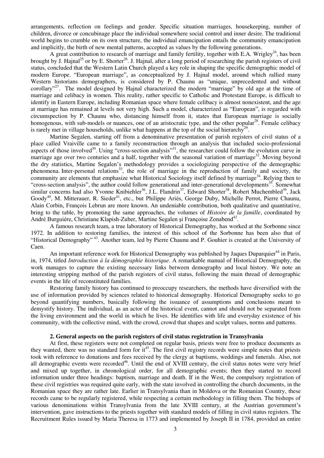arrangements, reflection on feelings and gender. Specific situation marriages, housekeeping, number of children, divorce or concubinage place the individual somewhere social control and inner desire. The traditional world begins to crumble on its own structure, the individual emancipation entails the community emancipation and implicitly, the birth of new mental patterns, accepted as values by the following generations.

A great contribution to research of marriage and family fertility, together with E.A. Wrigley<sup>24</sup>, has been brought by J. Hajnal<sup>25</sup> or by E. Shorter<sup>26</sup>. J. Hajnal, after a long period of researching the parish registers of civil status, concluded that the Western Latin Church played a key role in shaping the specific demographic model of modern Europe. "European marriage", as conceptualized by J. Hajnal model, around which rallied many Western historians demographers, is considered by P. Chaunu as "unique, unprecedented and without corollary"<sup>27</sup>. The model designed by Hajnal characterized the modern "marriage" by old age at the time of marriage and celibacy in women. This reality, rather specific to Catholic and Protestant Europe, is difficult to identify in Eastern Europe, including Romanian space where female celibacy is almost nonexistent, and the age at marriage has remained at levels not very high. Such a model, characterized as "European", is regarded with circumspection by P. Chaunu who, distancing himself from it, states that European marriage is socially homogenous, with sub-models or nuances, one of an aristocratic type, and the other popular<sup>28</sup>. Female celibacy is rarely met in village households, unlike what happens at the top of the social hierarchy<sup>29</sup>.

Martine Segalen, starting off from a denominative presentation of parish registers of civil status of a place called Vraiville came to a family reconstruction through an analysis that included socio-professional aspects of those involved<sup>30</sup>. Using "cross-section analysis"<sup>31</sup>, the researcher could follow the evolution curve in marriage age over two centuries and a half, together with the seasonal variation of marriage<sup>32</sup>. Moving beyond the dry statistics, Martine Segalen's methodology provides a sociologizing perspective of the demographic phenomena. Inter-personal relations<sup>33</sup>, the role of marriage in the reproduction of family and society, the community are elements that emphasize what Historical Sociology itself defined by marriage<sup>34</sup>. Relying then to "cross-section analysis", the author could follow generational and inter-generational developments<sup>35</sup>. Somewhat similar concerns had also Yvonne Knibiehler<sup>36</sup>, J.L. Flandrin<sup>37</sup>, Edward Shorter<sup>38</sup>, Robert Muchembled<sup>39</sup>, Jack Goody<sup>40</sup>, M. Mitterauer, R. Sieder<sup>41</sup>, etc., but Philippe Ariès, George Duby, Michelle Perrot, Pierre Chaunu, Alain Corbin, François Lebrun are more known. An undeniable contribution, both qualitative and quantitative, bring to the table, by promoting the same approaches, the volumes of *Histoire de la famille*, coordinated by André Burguiére, Christiane Klapish-Zuber, Martine Segalen și Françoise Zonabend<sup>42</sup>.

A famous research team, a true laboratory of Historical Demography, has worked at the Sorbonne since 1972. In addition to restoring families, the interest of this school of the Sorbonne has been also that of "Historical Demography"<sup>43</sup>. Another team, led by Pierre Chaunu and P. Gouhier is created at the University of Caen.

An important reference work for Historical Demography was published by Jaques Duparquier<sup>44</sup> in Paris, in, 1974, titled *Introduction à la démographie historique*. A remarkable manual of Historical Demography, the work manages to capture the existing necessary links between demography and local history. We note an interesting stripping method of the parish registers of civil status, following the main thread of demographic events in the life of reconstituted families.

Restoring family history has continued to preoccupy researchers, the methods have diversified with the use of information provided by sciences related to historical demography. Historical Demography seeks to go beyond quantifying numbers, basically following the issuance of assumptions and conclusions meant to demystify history. The individual, as an actor of the historical event, cannot and should not be separated from the living environment and the world in which he lives. He identifies with life and everyday existence of his community, with the collective mind, with the crowd, crowd that shapes and sculpt values, norms and patterns.

## **2. General aspects on the parish registers of civil status registration in Transylvania**

At first, these registers were not completed on regular basis, priests were free to produce documents as they wanted, there was no standard form for  $it^{45}$ . The first civil registry records were simple notes that priests took with reference to donations and fees received by the clergy at baptisms, weddings and funerals. Also, not all demographic events were recorded<sup>46</sup>. Until the end of XVIII century, the civil status notes were very brief and mixed up together, in chronological order, for all demographic events; then they started to record information under three headings: baptism, marriage and death. If in the West, the compulsory registration of these civil registries was required quite early, with the state involved in controlling the church documents, in the Romanian space they are rather late. Earlier in Transylvania than in Moldova or the Romanian Country, these records came to be regularly registered, while respecting a certain methodology in filling them. The bishops of various denominations within Transylvania from the late XVIII century, at the Austrian government's intervention, gave instructions to the priests together with standard models of filling in civil status registers. The Recruitment Rules issued by Maria Theresa in 1773 and implemented by Joseph II in 1784, provided an entire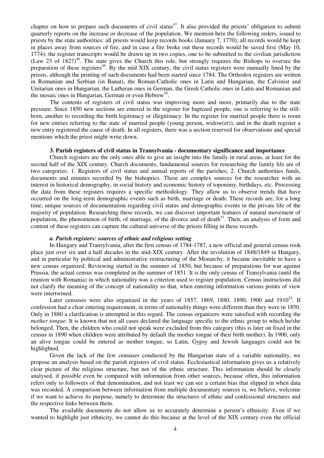chapter on how to prepare such documents of civil status<sup>47</sup>. It also provided the priests' obligation to submit quarterly reports on the increase or decrease of the population. We mention here the following orders, issued to priests by the state authorities: all priests would keep records books (January 7, 1770); all records would be kept in places away from sources of fire, and in case a fire broke out these records would be saved first (May 10, 1774); the register transcripts would be drawn up in two copies, one to be submitted to the civilian jurisdiction (Law 23 of 1827)<sup>48</sup>. The state gives the Church this role, but strongly requires the Bishops to oversee the preparation of these registers<sup>49</sup>. By the mid XIX century, the civil status registers were manually lined by the priests, although the printing of such documents had been started since 1784. The Orthodox registers are written in Romanian and Serbian (in Banat), the Roman-Catholic ones in Latin and Hungarian, the Calvinist and Unitarian ones in Hungarian, the Lutheran ones in German, the Greek Catholic ones in Latin and Romanian and the mosaic ones in Hungarian, German or even Hebrew<sup>50</sup>.

The contents of registers of civil status was improving more and more, primarily due to the state pressure. Since 1850 new sections are entered in the register for baptized people, one is referring to the stillborn, another to recording the birth legitimacy or illegitimacy. In the register for married people there is room for new entries referring to the state of married people (young person, widow(er)), and in the death register a new entry registered the cause of death. In all registers, there was a section reserved for observations and special mentions which the priest might write down.

#### **3. Parish registers of civil status in Transylvania - documentary significance and importance**

Church registers are the only ones able to give an insight into the family in rural areas, at least for the second half of the XIX century. Church documents, fundamental sources for researching the family life are of two categories: 1. Registers of civil status and annual reports of the parishes; 2. Church authorities funds, documents and minutes recorded by the bishoprics. These are complex sources for the researcher with an interest in historical demography, in social history and economic history of toponimy, birthdays, etc. Processing the data from these registers requires a specific methodology. They allow us to observe trends that have occurred on the long-term demographic events such as birth, marriage or death. These records are, for a long time, unique sources of documentation regarding civil status and demographic events in the private life of the majority of population. Researching these records, we can discover important features of natural movement of population, the phenomenon of birth, of marriage, of the divorce and of death<sup>51</sup>. Then, an analysis of form and content of these registers can capture the cultural universe of the priests filling in these records.

## *a. Parish registers: sources of ethnic and religious setting*

In Hungary and Transylvania, after the first census of 1784-1787, a new official and general census took place just over six and a half decades in the mid-XIX century. After the revolution of 1848/1849 in Hungary, and in particular by political and administrative restructuring of the Monarchy, it became inevitable to have a new census organized. Reviewing started in the summer of 1850, but because of preparations for war against Prussia, the actual census was completed in the summer of 1851. It is the only census of Transylvania (until the reunion with Romania) in which nationality was a criterion used to register population. Census instructions did not clarify the meaning of the concept of nationality so that, when entering information various points of view were intertwined.

Later censuses were also organized in the years of 1857, 1869, 1880, 1890, 1900 and  $1910^{52}$ . If confession had a clear entering requirement, in terms of nationality things were different than they were in 1850. Only in 1880 a clarification is attempted in this regard. The census organizers were satisfied with recording the *mother tongue.* It is known that not all cases declared the language specific to the ethnic group to which he/she belonged. Then, the children who could not speak were excluded from this category (this is later on fixed in the census in 1890 when children were attributed by default the mother tongue of their birth mother). In 1900, only an alive tongue could be entered as mother tongue, so Latin, Gypsy and Jewish languages could not be highlighted.

Given the lack of the few censuses conducted by the Hungarian state of a variable nationality, we propose an analysis based on the parish registers of civil status. Ecclesiastical information gives us a relatively clear picture of the religious structure, but not of the ethnic structure. This information should be closely analysed, if possible even be compared with information from other sources, because often, this information refers only to followers of that denomination, and not least we can see a certain bias that slipped in when data was recorded. A comparison between information from multiple documentary sources is, we believe, welcome if we want to achieve its purpose, namely to determine the structures of ethnic and confessional structures and the respective links between them.

The available documents do not allow us to accurately determine a person's ethnicity. Even if we wanted to highlight just ethnicity, we cannot do this because at the level of the XIX century even the official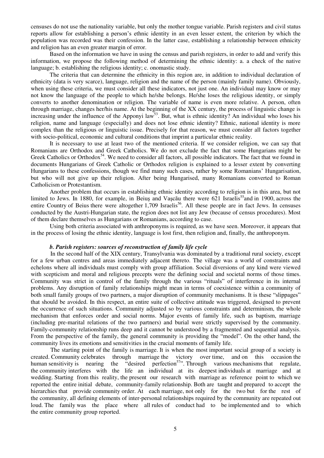censuses do not use the nationality variable, but only the mother tongue variable. Parish registers and civil status reports allow for establishing a person's ethnic identity in an even lesser extent, the criterion by which the population was recorded was their confession. In the latter case, establishing a relationship between ethnicity and religion has an even greater margin of error.

Based on the information we have in using the census and parish registers, in order to add and verify this information, we propose the following method of determining the ethnic identity: a. a check of the native language; b. establishing the religious identity; c. onomastic study.

The criteria that can determine the ethnicity in this region are, in addition to individual declaration of ethnicity (data is very scarce), language, religion and the name of the person (mainly family name). Obviously, when using these criteria, we must consider all these indicators, not just one. An individual may know or may not know the language of the people to which he/she belongs. He/she loses the religious identity, or simply converts to another denomination or religion. The variable of name is even more relative. A person, often through marriage, changes her/his name. At the beginning of the XX century, the process of linguistic change is increasing under the influence of the Apponyi law<sup>53</sup>. But, what is ethnic identity? An individual who loses his religion, name and language (especially) and does not lose ethnic identity? Ethnic, national identity is more complex than the religious or linguistic issue. Precisely for that reason, we must consider all factors together with socio-political, economic and cultural conditions that imprint a particular ethnic reality.

It is necessary to use at least two of the mentioned criteria. If we consider religion, we can say that Romanians are Orthodox and Greek Catholics. We do not exclude the fact that some Hungarians might be Greek Catholics or Orthodox<sup>54</sup>. We need to consider all factors, all possible indicators. The fact that we found in documents Hungarians of Greek Catholic or Orthodox religion is explained to a lesser extent by converting Hungarians to these confessions, though we find many such cases, rather by some Romanians' Hungarisation, but who will not give up their religion. After being Hungarised, many Romanians converted to Roman Catholicism or Protestantism.

Another problem that occurs in establishing ethnic identity according to religion is in this area, but not limited to Jews. In 1880, for example, in Beius and Vascău there were 621 Israelis<sup>55</sup>and in 1900, across the entire Country of Beius there were altogether 1,709 Israelis<sup>56</sup>. All these people are in fact Jews. In censuses conducted by the Austri-Hungarian state, the region does not list any Jew (because of census procedures). Most of them declare themselves as Hungarians or Romanians, according to case.

Using both criteria associated with anthroponyms is required, as we have seen. Moreover, it appears that in the process of losing the ethnic identity, language is lost first, then religion and, finally, the anthroponym.

## *b. Parish registers: sources of reconstruction of family life cycle*

In the second half of the XIX century, Transylvania was dominated by a traditional rural society, except for a few urban centres and areas immediately adjacent thereto. The village was a world of constraints and echelons where all individuals must comply with group affiliation. Social diversions of any kind were viewed with scepticism and moral and religious precepts were the defining social and societal norms of those times. Community was strict in control of the family through the various "rituals" of interference in its internal problems. Any disruption of family relationships might mean in terms of coexistence within a community of both small family groups of two partners, a major disruption of community mechanisms. It is these "slippages" that should be avoided. In this respect, an entire suite of collective attitude was triggered, designed to prevent the occurrence of such situations. Community adjusted so by various constraints and determinism, the whole mechanism that enforces order and social norms. Major events of family life, such as baptism, marriage (including pre-marital relations of the two partners) and burial were strictly supervised by the community. Family-community relationship runs deep and it cannot be understood by a fragmented and sequential analysis. From the perspective of the family, the general community is providing the "model". On the other hand, the community lives its emotions and sensitivities in the crucial moments of family life.

The starting point of the family is marriage. It is when the most important social group of a society is created. Community celebrates through marriage the victory over time, and on this occasion the human sensitivity is nearing the "desired perfection<sup>57</sup>". Through various mechanisms that regulate, human sensitivity is nearing the "desired perfection $57$ ". Through various mechanisms that regulate, the community interferes with the life an individual at its deepest individuals at marriage and at wedding. Starting from this reality, the present our research with marriage as reference point to which we reported the entire initial debate, community-family relationship. Both are taught and prepared to accept the hierarchies that provide community order. At each marriage, not only for the two but for the rest of the community, all defining elements of inter-personal relationships required by the community are repeated out loud. The family was the place where all rules of conduct had to be implemented and to which the entire community group reported.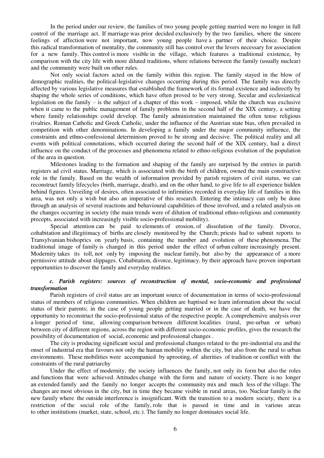In the period under our review, the families of two young people getting married were no longer in full control of the marriage act. If marriage was prior decided exclusively by the two families, where the sincere feelings of affection were not important, now young people have a partner of their choice. Despite this radical transformation of mentality, the community still has control over the levers necessary for association for a new family. This control is more visible in the village, which features a traditional existence, by comparison with the city life with more diluted traditions, where relations between the family (usually nuclear) and the community were built on other rules.

Not only social factors acted on the family within this region. The family stayed in the blow of demographic realities, the political-legislative changes occurring during this period. The family was directly affected by various legislative measures that established the framework of its formal existence and indirectly by shaping the whole series of conditions, which have often proved to be very strong. Secular and ecclesiastical legislation on the family – is the subject of a chapter of this work – imposed, while the church was exclusive when it came to the public management of family problems in the second half of the XIX century, a setting where family relationships could develop. The family administration maintained the often tense religious rivalries. Roman Catholic and Greek Catholic, under the influence of the Austrian state bias, often prevailed in competition with other denominations. In developing a family under the major community influence, the constraints and ethno-confessional determinism proved to be strong and decisive. The political reality and all events with political connotations, which occurred during the second half of the XIX century, had a direct influence on the conduct of the processes and phenomena related to ethno-religious evolution of the population of the area in question.

Milestones leading to the formation and shaping of the family are surprised by the entries in parish registers ad civil status. Marriage, which is associated with the birth of children, owned the main constructive role in the family. Based on the wealth of information provided by parish registers of civil status, we can reconstruct family lifecycles (birth, marriage, death), and on the other hand, to give life to all experience hidden behind figures. Unveiling of desires, often associated to infirmities recorded in everyday life of families in this area, was not only a wish but also an imperative of this research. Entering the intimacy can only be done through an analysis of several reactions and behavioural capabilities of those involved, and a related analysis on the changes occurring in society (the main trends were of dilution of traditional ethno-religious and community precepts, associated with increasingly visible socio-professional mobility).

Special attention can be paid to elements of erosion, of dissolution of the family. Divorce, cohabitation and illegitimacy of births are closely monitored by the Church; priests had to submit reports to Transylvanian bishoprics on yearly basis, containing the number and evolution of these phenomena. The traditional image of family is changed in this period under the effect of urban culture increasingly present. Modernity takes its toll, not only by imposing the nuclear family, but also by the appearance of a more permissive attitude about slippages. Cohabitation, divorce, legitimacy, by their approach have proven important opportunities to discover the family and everyday realities.

## *c. Parish registers: sources of reconstruction of mental, socio-economic and professional transformation*

Parish registers of civil status are an important source of documentation in terms of socio-professional status of members of religious communities. When children are baptised we learn information about the social status of their parents; in the case of young people getting married or in the case of death, we have the opportunity to reconstruct the socio-professional status of the respective people. A comprehensive analysis over a longer period of time, allowing comparison between different localities (rural, pre-urban or urban) between city of different regions, across the region with different socio-economic profiles, gives the research the possibility of documentation of social, economic and professional changes .

The city is producing significant social and professional changes related to the pre-industrial era and the onset of industrial era that favours not only the human mobility within the city, but also from the rural to urban environments. These mobilities were accompanied by uprooting, of alterities of tradition or conflict with the constraints of the rural patriarchy

Under the effect of modernity, the society influences the family, not only its form but also the roles and functions that were achieved. Attitudes change with the form and nature of society. There is no longer an extended family and the family no longer accepts the community mix and much less of the village. The changes are most obvious in the city, but in time they became visible in rural areas, too. Nuclear family is the new family where the outside interference is insignificant. With the transition to a modern society, there is a restriction of the social role of the family, role that is passed in time and in various areas to other institutions (market, state, school, etc.). The family no longer dominates social life.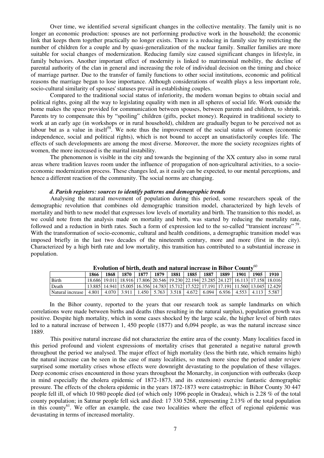Over time, we identified several significant changes in the collective mentality. The family unit is no longer an economic production: spouses are not performing productive work in the household; the economic link that keeps them together practically no longer exists. There is a reducing in family size by restricting the number of children for a couple and by quasi-generalization of the nuclear family. Smaller families are more suitable for social changes of modernization. Reducing family size caused significant changes in lifestyle, in family behaviors. Another important effect of modernity is linked to matrimonial mobility, the decline of parental authority of the clan in general and increasing the role of individual decision on the timing and choice of marriage partner. Due to the transfer of family functions to other social institutions, economic and political reasons the marriage began to lose importance. Although considerations of wealth plays a less important role, socio-cultural similarity of spouses' statuses prevail in establishing couples.

Compared to the traditional social status of inferiority, the modern woman begins to obtain social and political rights, going all the way to legislating equality with men in all spheres of social life. Work outside the home makes the space provided for communication between spouses, between parents and children, to shrink. Parents try to compensate this by "spoiling" children (gifts, pocket money). Required in traditional society to work at an early age (in workshops or in rural household), children are gradually begun to be perceived not as labour but as a value in itself<sup>58</sup>. We note thus the improvement of the social status of women (economic independence, social and political rights), which is not bound to accept an unsatisfactorily couples life. The effects of such developments are among the most diverse. Moreover, the more the society recognizes rights of women, the more increased is the marital instability.

The phenomenon is visible in the city and towards the beginning of the XX century also in some rural areas where tradition leaves room under the influence of propagation of non-agricultural activities, to a socioeconomic modernization process. These changes led, as it easily can be expected, to our mental perceptions, and hence a different reaction of the community. The social norms are changing.

### *d. Parish registers: sources to identify patterns and demographic trends*

Analysing the natural movement of population during this period, some researchers speak of the demographic revolution that combines old demographic transition model, characterized by high levels of mortality and birth to new model that expresses low levels of mortality and birth. The transition to this model, as we could note from the analysis made on mortality and birth, was started by reducing the mortality rate, followed and a reduction in birth rates. Such a form of expression led to the so-called "transient increase" <sup>59</sup>. With the transformation of socio-economic, cultural and health conditions, a demographic transition model was imposed briefly in the last two decades of the nineteenth century, more and more (first in the city). Characterized by a high birth rate and low mortality, this transition has contributed to a substantial increase in population.

| Evolution of birth, death and natural increase in Billor County |         |  |           |  |             |      |        |      |      |                                                                                       |      |                                                                                                           |
|-----------------------------------------------------------------|---------|--|-----------|--|-------------|------|--------|------|------|---------------------------------------------------------------------------------------|------|-----------------------------------------------------------------------------------------------------------|
|                                                                 | 1866    |  | 1868 1870 |  | 1877   1879 | 1881 | 1885 l | 1887 | 1889 | 1901                                                                                  | 1905 | - 1910                                                                                                    |
| Birth                                                           |         |  |           |  |             |      |        |      |      |                                                                                       |      | 18.686   19.011   18.916   17.806   20.546   19.230   22.194   23.285   24.127   16.113   17.158   18.016 |
| Death                                                           |         |  |           |  |             |      |        |      |      |                                                                                       |      | 13.885 14.941 15.005 16.356 14.783 15.712 17.522 17.191 17.191 11.560 13.045 12.429                       |
| Natural increase                                                | 4.801 L |  |           |  |             |      |        |      |      | 4.070   3.911   1.450   5.763   3.518   4.672   6.094   6.936   4.553   4.113   5.587 |      |                                                                                                           |

**Evolution of birth, death and natural increase in Bihor County**<sup>60</sup>

In the Bihor county, reported to the years that our research took as sample landmarks on which correlations were made between births and deaths (thus resulting in the natural surplus), population growth was positive. Despite high mortality, which in some cases shocked by the large scale, the higher level of birth rates led to a natural increase of between 1, 450 people (1877) and 6,094 people, as was the natural increase since 1889.

This positive natural increase did not characterize the entire area of the county. Many localities faced in this period profound and violent expressions of mortality crises that generated a negative natural growth throughout the period we analysed. The major effect of high mortality (less the birth rate, which remains high) the natural increase can be seen in the case of many localities, so much more since the period under review surprised some mortality crises whose effects were downright devastating to the population of these villages. Deep economic crises encountered in those years throughout the Monarchy, in conjunction with outbreaks (keep in mind especially the cholera epidemic of 1872-1873, and its extension) exercise fantastic demographic pressure. The effects of the cholera epidemic in the years 1872-1873 were catastrophic: in Bihor County 30 447 people fell ill, of which 10 980 people died (of which only 1096 people in Oradea), which is 2.28 % of the total county population; in Satmar people fell sick and died: 17 330 5268, representing 2.13% of the total population in this county<sup>61</sup>. We offer an example, the case two localities where the effect of regional epidemic was devastating in terms of increased mortality.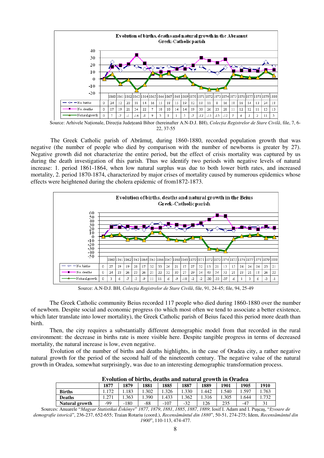

Source: Arhivele Nationale, Directia Judeteană Bihor (hereinafter A.N-D.J. BH), *Colectia Registrelor de Stare Civilă*, file, 7, 6-22, 37-55

The Greek Catholic parish of Abrămut, during 1860-1880, recorded population growth that was negative (the number of people who died by comparison with the number of newborns is greater by 27). Negative growth did not characterize the entire period, but the effect of crisis mortality was captured by us during the death investigation of this parish. Thus we identify two periods with negative levels of natural increase: 1. period 1861-1864, when low natural surplus was due to both lower birth rates, and increased mortality, 2. period 1870-1874, characterized by major crises of mortality caused by numerous epidemics whose effects were heightened during the cholera epidemic of from1872-1873.



Source: A.N-D.J. BH, *Colecţia Registrelor de Stare Civilă*, file, 91, 24-45; file, 94, 25-49

The Greek Catholic community Beius recorded 117 people who died during 1860-1880 over the number of newborn. Despite social and economic progress (to which most often we tend to associate a better existence, which later translate into lower mortality), the Greek Catholic parish of Beius faced this period more death than birth.

Then, the city requires a substantially different demographic model from that recorded in the rural environment: the decrease in births rate is more visible here. Despite tangible progress in terms of decreased mortality, the natural increase is low, even negative.

Evolution of the number of births and deaths highlights, in the case of Oradea city, a rather negative natural growth for the period of the second half of the nineteenth century. The negative value of the natural growth in Oradea, somewhat surprisingly, was due to an interesting demographic transformation process.

| Evolution of births, deaths and natural growth in Oradea |      |        |      |        |       |       |       |       |      |  |  |
|----------------------------------------------------------|------|--------|------|--------|-------|-------|-------|-------|------|--|--|
|                                                          | 1877 | 1879   | 1881 | 1885   | 1887  | 1889  | 1901  | 1905  | 1910 |  |  |
| <b>Births</b>                                            | .172 | .183   | .302 | .326   | .330  | .442  | 1.540 | .597  | .763 |  |  |
| <b>Deaths</b>                                            |      | .363   | .390 | .433   | .362  | 1.316 | 1.305 | .644  | .732 |  |  |
| Natural growth                                           | -99  | $-180$ | -88  | $-107$ | $-32$ | 126   | 235   | $-47$ | 31   |  |  |

**Evolution of births, deaths and natural growth in Oradea** 

Sources: Anuarele "*Magyar Statistikai Évkönyv*" *1877*, *1879*, *1881*, *1885*, *1887*, *1889*; Iosif I. Adam and I. Puşcaş, "*Izvoare de demografie istorică*", 236-237, 652-655; Traian Rotariu (coord.), *Recensământul din 1880*", 50-51, 274-275; Idem, *Recensământul din 1900*", 110-113, 474-477.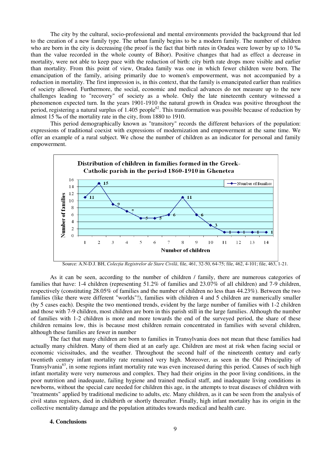The city by the cultural, socio-professional and mental environments provided the background that led to the creation of a new family type. The urban family begins to be a modern family. The number of children who are born in the city is decreasing (the proof is the fact that birth rates in Oradea were lower by up to 10 ‰ than the value recorded in the whole county of Bihor). Positive changes that had as effect a decrease in mortality, were not able to keep pace with the reduction of birth: city birth rate drops more visible and earlier than mortality. From this point of view, Oradea family was one in which fewer children were born. The emancipation of the family, arising primarily due to women's empowerment, was not accompanied by a reduction in mortality. The first impression is, in this context, that the family is emancipated earlier than realities of society allowed. Furthermore, the social, economic and medical advances do not measure up to the new challenges leading to "recovery" of society as a whole. Only the late nineteenth century witnessed a phenomenon expected turn. In the years 1901-1910 the natural growth in Oradea was positive throughout the period, registering a natural surplus of  $1.405$  people<sup>62</sup>. This transformation was possible because of reduction by almost 15 ‰ of the mortality rate in the city, from 1880 to 1910.

This period demographically known as "transitory" records the different behaviors of the population: expressions of traditional coexist with expressions of modernization and empowerment at the same time. We offer an example of a rural subject. We chose the number of children as an indicator for personal and family empowerment.



Source: A.N-D.J. BH, *Colecţia Registrelor de Stare Civilă*, file, 461, 32-50, 64-75; file, 462, 4-101; file, 463, 1-21.

As it can be seen, according to the number of children / family, there are numerous categories of families that have: 1-4 children (representing 51.2% of families and 23.07% of all children) and 7-9 children, respectively (constituting 28.05% of families and the number of children no less than 44.23%). Between the two families (like there were different "worlds"!), families with children 4 and 5 children are numerically smaller (by 5 cases each). Despite the two mentioned trends, evident by the large number of families with 1-2 children and those with 7-9 children, most children are born in this parish still in the large families. Although the number of families with 1-2 children is more and more towards the end of the surveyed period, the share of these children remains low, this is because most children remain concentrated in families with several children, although these families are fewer in number

The fact that many children are born to families in Transylvania does not mean that these families had actually many children. Many of them died at an early age. Children are most at risk when facing social or economic vicissitudes, and the weather. Throughout the second half of the nineteenth century and early twentieth century infant mortality rate remained very high. Moreover, as seen in the Old Principality of Transylvania<sup>63</sup>, in some regions infant mortality rate was even increased during this period. Causes of such high infant mortality were very numerous and complex. They had their origins in the poor living conditions, in the poor nutrition and inadequate, failing hygiene and trained medical staff, and inadequate living conditions in newborns, without the special care needed for children this age, in the attempts to treat diseases of children with "treatments" applied by traditional medicine to adults, etc. Many children, as it can be seen from the analysis of civil status registers, died in childbirth or shortly thereafter. Finally, high infant mortality has its origin in the collective mentality damage and the population attitudes towards medical and health care.

## **4. Conclusions**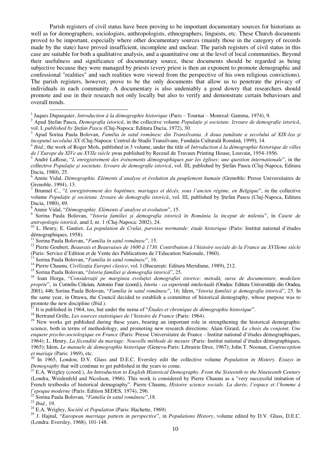Parish registers of civil status have been proving to be important documentary sources for historians as well as for demographers, sociologists, anthropologists, ethnographers, linguists, etc. These Church documents proved to be important, especially where other documentary sources (mainly those in the category of records made by the state) have proved insufficient, incomplete and unclear. The parish registers of civil status in this case are suitable for both a qualitative analysis, and a quantitative one at the level of local communities. Beyond their usefulness and significance of documentary source, these documents should be regarded as being subjective because they were managed by priests (every priest is then an exponent to promote demographic and confessional "realities" and such realities were viewed from the perspective of his own religious convictions). The parish registers, however, prove to be the only documents that allow us to penetrate the privacy of individuals in each community. A documentary is also undeniably a good dowry that researchers should promote and use in their research not only locally but also to verify and demonstrate certain behaviours and overall trends.

1 Jaques Duparquier, *Introduction à la démographie historique* (Paris – Tournai – Monreal: Gamma, 1974), 9.

<sup>2</sup> Apud Ştefan Pascu, *Demografia istorică*, in the collective volume *Populaţie şi societate. Izvoare de demografie istorică*, vol. I, *published by Ştefan Pascu* (Cluj-Napoca: Editura Dacia, 1972), 30.

6 Annie Vidal, *Démographie. Eléments d`analyse et évolution du peuplement humain* (Grenoble: Presse Universitaires de Grenoble, 1994), 13.

<sup>8</sup> Annie Vidal, "*Démographie. Eléments d`analyse et evolution*", 15.

9 Sorina Paula Bolovan, "*Istoria familiei şi demografia istorică în România la început de mileniu*", în *Caiete de antropologie istorică*, anul I, nr. 1 (Cluj-Napoca: 2002), 24.

<sup>10</sup> L. Henry, E. Gautier, *La population de Crulai, paroisse normande: étude historique* (Paris: Institut national d'études démographiques, 1958).

<sup>11</sup> Sorina Paula Bolovan, "*Familia în satul românesc*", 15.

<sup>12</sup> Pierre Goubert, *Beauvais et Beauvaises de 1600 á 1730. Contribution á l'histoire sociale de la France au XVIIeme siècle* (Paris: Service d'Edition et de Vente des Publications de l'Education Nationale, 1960).

<sup>13</sup> Sorina Paula Bolovan, "*Familia în satul românesc*", 16.

<sup>14</sup> Pierre Chaunu, *Civilizația Europei clasice*, vol. I (București: Editura Meridiane, 1989), 212.

<sup>15</sup> Sorina Paula Bolovan, "*Istoria familiei şi demografia istorică*", 25.

<sup>16</sup> Ioan Horga, "*Consideraţii pe marginea evoluţiei demografiei istorice: metodă, surse de documentare, modelare proprie*", in Corneliu Crăciun, Antonio Faur (coord.), *Istoria - ca experienţă intelectuală* (Oradea: Editura Universităţii din Oradea, 2001), 446; Sorina Paula Bolovan, "*Familia în satul românesc*", 16; Idem, "*Istoria familiei şi demografia istorică*", 25. In the same year, in Ottawa, the Council decided to establish a committee of historical demography, whose purpose was to promote the new discipline (*Ibid.*).

<sup>17</sup> It is published in 1964, too, but under the nema of "*Études et chronique de démographie historique*".

<sup>18</sup> Bertrand Grille, *Les sources statistiques de l'histoire de France* (Paris: 1964).

<sup>19</sup> New works get published during these years, bearing an important role in strengthening the historical demographic science, both in terms of methodology, and promoting new research directions: Alain Girard, *Le choix du conjoint. Une enquete psycho-sociologique en France* (Paris: Presse Universitaire de France - Institut national d'études démographiques, 1964); L. Henry, *La fécondité du mariage: Nouvelle méthode de mesure* (Paris: Institut national d'études démographiques, 1965); Idem, *Le manuele de demographie historique* (Geneva-Paris: Librairie Droz, 1967); John T. Noonan, *Contraception et mariaje* (Paris: 1969), etc.

<sup>20</sup> In 1965, London, D.V. Glass and D.E.C. Eversley edit the collective volume *Population in History. Essays in Demography* that will continue to get published in the years to come.

<sup>21</sup> E.A. Wrigley (coord.), *An Introduction to English Historical Demography. From the Sixteenth to the Nineteenth Century* (Londra, Weidenfeld and Nicolson, 1966). This work is considered by Pierre Chaunu as a "very successful imitation of French textbooks of historical demography". Pierre Chaunu, *Histoire science sociale. La durée, l'espace et l'homme á l'epoque moderne* (Paris: Edition SEDES, 1974), 296.

<sup>22</sup> Sorina Paula Bolovan, "*Familia în satul românesc*",18.

<sup>23</sup> *Ibid.*, 19.

<sup>24</sup> E.A. Wrigley, *Société et Population* (Paris: Hachette, 1969).

<sup>25</sup> J. Hajnal, "*European marriage pattern in perspective*", in *Populations History*, volume edited by D.V. Glass, D.E.C. (Londra: Eversley, 1968), 101-148.

<sup>3</sup> Apud Sorina Paula Bolovan, *Familia în satul românesc din Transilvania. A doua jumătate a secolului al XIX-lea şi începutul secolului XX* (Cluj-Napoca: Centrul de Studii Transilvane, Fundația Culturală Română, 1999), 14.

<sup>4</sup> *Ibid.*; the work of Roger Mols, published in 3 volume, under the title of *Introduction à la démographie historique de villes de l`Europe du XIVe au XVIIe siècle* şwas published by Receuil de Travaux Printing House, Louvain, 1954-1956.

<sup>5</sup> André LaRose, "*L`enregistrement des événements démographiques par les églises: une question internationale*", in the collective *Populaţie şi societate. Izvoare de demografie istorică*, vol. III, published by Ştefan Pascu (Cluj-Napoca, Editura Dacia, 1980), 25.

<sup>7</sup> Brunnel C., "*L`enregistrement des baptêmes, mariages et décês, sous l`ancien régime, en Belgique*", in the collective volume *Populaţie şi societate. Izvoare de demografie istorică*, vol. III, published by Ştefan Pascu (Cluj-Napoca, Editura Dacia, 1980), 69.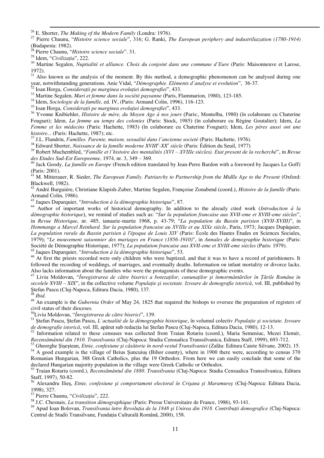<sup>27</sup> Pierre Chaunu, "*Histoire science sociale*", 316; G. Ranki, *The European periphery and industriliazation (1780-1914)* (Budapesta: 1982).

<sup>28</sup> Pierre Chaunu, "*Histoire science sociale*". 31.

<sup>29</sup> Idem, "*Civilizaţia*", 222.

<sup>-</sup>

<sup>30</sup> Martine Segalen, *Nuptialité et alliance. Choix du conjoint dans une commune d'Eure* (Paris: Maisonneuve et Larose, 1972).

<sup>31</sup> Also known as the analysis of the moment. By this method, a demographic phenomenon can be analysed during one year, notwithstanding generations. Anie Vidal, "*Démographie. Eléments d`analyse et evolution*", 36-37.

<sup>32</sup> Ioan Horga, *Consideraţii pe marginea evoluţiei demografiei*", 433.

<sup>33</sup> Martine Segalen, *Mari et femme dans la société paysanne* (Paris, Flammarion, 1980), 123-185.

<sup>34</sup> Idem, *Sociologie de la famille*, ed. IV, (Paris: Armand Colin, 1996), 116-123.

<sup>35</sup> Ioan Horga, *Consideraţii pe marginea evoluţiei demografiei*", 433.

<sup>36</sup> Yvonne Knibiehler, *Histoire de mère, du Moyen Age á nos jours* (Paris:, Montolba, 1980) (în colaborare cu Chaterine Fouguet); Idem, *La femme au temps des colonies* (Paris: Stock, 1985) (în colaborare cu Régine Goutalier); Idem, *La Femme et les médecins* (Paris: Hachette, 1983) (în colaborare cu Chaterine Fouguet); Idem, *Les pères aussi ont une histoire...* (Paris: Hachette, 1987); etc.

<sup>37</sup> J.L. Flandrin, *Familles. Parente, maison, sexualité dans l'ancienne societé* (Paris: Hachette, 1976).

<sup>38</sup> Edward Shorter, *Naissance de la famille moderne XVIII<sup>e</sup> -XX<sup>e</sup> siècle* (Paris: Édition du Seuil, 1977)

<sup>39</sup> Robert Muchembled, "*Famille et l`histoire des mentalités (XVI – XVIIIe siècles). Etat present de la recherché*", in *Revue des Etudes Sud-Est Europeenne*, 1974, nr. 3, 349 – 369.

<sup>40</sup> Jack Goody, *La famille en Europe* (French edition translated by Jean-Perre Bardon with a foreword by Jacques Le Goff) (Paris: 2001).

<sup>41</sup> M. Mitterauer, R. Sieder, *The European Family. Patriarchy to Partnership from the Midlle Age to the Present (Oxford:* Blackwell, 1982).

<sup>42</sup> André Burguiére, Christiane Klapish-Zuber, Martine Segalen, Françoise Zonabend (coord.), *Histoire de la famille* (Paris: Armand Colin, 1986).

<sup>43</sup> Jaques Duparquier, "*Introduction à la démographie historique*", 87.

<sup>44</sup> Author of important works of historical demography. In addition to the already cited work (*Introduction à la démographie historique*), we remind of studies such as: "*Sur la population francaise aux XVII-eme et XVIII-eme siècles*", in *Revue Historique*, nr. 485, ianuarie-martie 1968, p. 43-79; "*La population du Bassin parisien (XVII-XVIII)*", in *Hommange a Marcel Reinhard. Sur la population francaise au XVIIIe et au XIXe siècle*, Paris, 1973; Jacques Dupâquier, *La population rurale du Bassin parisien à l'époque de Louis XIV* (Paris: École des Hautes Études en Sciences Sociales, 1979); "*Le mouvement saisonnier des mariages en France (1856-1910)*", in *Annales de demographie historique* (Paris: Société de Démographie Historique, 1977); *La population francaise aux XVII-eme et XVIII-eme siècles* (Paris: 1979). <sup>45</sup> Jaques Duparquier, "*Introduction à la démographie historique*", 53.

<sup>46</sup> At first the priests recorded were only children who were baptized, and that it was to have a record of parishioners. It followed the recording of weddings, of marriages, and eventually deaths. Information on infant mortality or divorce lacks. Also lacks information about the families who were the protagonists of these demographic events.

<sup>47</sup> Liviu Moldovan, "*Înregistrarea de către biserici a botezaţilor, cununaţilor şi înmormântărilor în Ţările Române în secolele XVIII – XIX*", in the collective volume *Populaţie şi societate. Izvoare de demografie istorică*, vol. III, published by Ştefan Pascu (Cluj-Napoca, Editura Dacia, 1980), 137.

<sup>48</sup> *Ibid.* 

<sup>49</sup> An example is the *Gubernia Order* of May 24, 1825 that required the bishops to oversee the preparation of registers of civil status of their dioceses.

<sup>50</sup>Liviu Moldovan, "*Înregistrarea de către biserici*", 139.

<sup>51</sup> Ştefan Pascu, Ştefan Pascu, *L`actualité de la démographie historique*, în volumul colectiv *Populaţie şi societate. Izvoare de demografie istorică*, vol. III, apărut sub redacţia lui Ştefan Pascu (Cluj-Napoca, Editura Dacia, 1980), 12-13.

 $52$  Information related to these censuses was collected from Traian Rotariu (coord.), Maria Semeniuc, Mezei Elemér, *Recensământul din 1910. Transilvania* (Cluj-Napoca: Studia Censualica Transsilvanica, Editura Staff, 1999), 693-712.

<sup>53</sup> Gheorghe Şişeştean, *Etnie, confesiune şi căsătorie în nord-vestul Transilvaniei* (Zalău: Editura Caiete Silvane, 2002), 15.

<sup>54</sup> A good example is the village of Beius Şuncuius (Bihor county), where in 1900 there were, according to census 370 Romanian Hungarian, 388 Greek Catholics, plus the 19 Orthodox. From here we can easily conclude that some of the declared Hungarian majority population in the village were Greek Catholic or Orthodox.

<sup>55</sup> Traian Rotariu (coord.), *Recensământul din 1880*. *Transilvania* (Cluj-Napoca: Studia Censualica Transsilvanica, Editura Staff, 1997), 50-82.

<sup>56</sup> Alexandru Ilieş, *Etnie, confesiune şi comportament electoral în Crişana şi Maramureş* (Cluj-Napoca: Editura Dacia, 1998), 327.

<sup>57</sup> Pierre Chaunu, "*Civilizaţia*", 222.

<sup>58</sup> J.C. Chesnais, *La transition démographique* (Paris: Presse Universitaire de France, 1986), 93-141.

<sup>59</sup> Apud Ioan Bolovan, *Transilvania între Revoluţia de la 1848 şi Unirea din 1918. Contribuţii demografice* (Cluj-Napoca: Centrul de Studii Transilvane, Fundaţia Culturală Română, 2000), 158.

 $^{26}$  E. Shorter, *The Making of the Modern Family* (Londra: 1976).